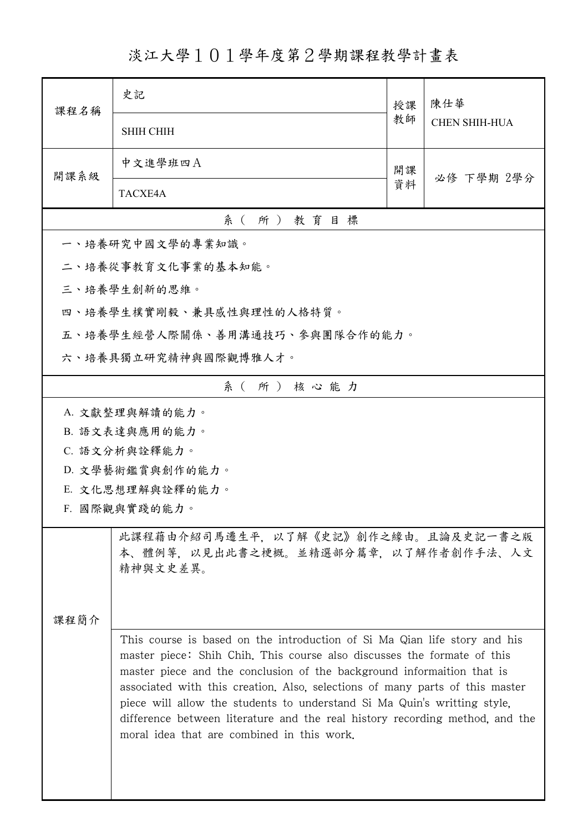淡江大學101學年度第2學期課程教學計畫表

| 課程名稱                                                                                   | 史記                                                                                                                                                                                                                                                                                                                                                                                                                                                                                                                       | 授課 | 陳仕華                  |  |
|----------------------------------------------------------------------------------------|--------------------------------------------------------------------------------------------------------------------------------------------------------------------------------------------------------------------------------------------------------------------------------------------------------------------------------------------------------------------------------------------------------------------------------------------------------------------------------------------------------------------------|----|----------------------|--|
|                                                                                        | <b>SHIH CHIH</b>                                                                                                                                                                                                                                                                                                                                                                                                                                                                                                         | 教師 | <b>CHEN SHIH-HUA</b> |  |
| 開課系級                                                                                   | 中文進學班四A                                                                                                                                                                                                                                                                                                                                                                                                                                                                                                                  | 開課 | 必修 下學期 2學分           |  |
|                                                                                        | TACXE4A                                                                                                                                                                                                                                                                                                                                                                                                                                                                                                                  | 資料 |                      |  |
|                                                                                        | 系(所)教育目標                                                                                                                                                                                                                                                                                                                                                                                                                                                                                                                 |    |                      |  |
|                                                                                        | 一、培養研究中國文學的專業知識。                                                                                                                                                                                                                                                                                                                                                                                                                                                                                                         |    |                      |  |
|                                                                                        | 二、培養從事教育文化事業的基本知能。                                                                                                                                                                                                                                                                                                                                                                                                                                                                                                       |    |                      |  |
|                                                                                        | 三、培養學生創新的思維。                                                                                                                                                                                                                                                                                                                                                                                                                                                                                                             |    |                      |  |
|                                                                                        | 四、培養學生樸實剛毅、兼具感性與理性的人格特質。                                                                                                                                                                                                                                                                                                                                                                                                                                                                                                 |    |                      |  |
|                                                                                        | 五、培養學生經營人際關係、善用溝通技巧、參與團隊合作的能力。                                                                                                                                                                                                                                                                                                                                                                                                                                                                                           |    |                      |  |
|                                                                                        | 六、培養具獨立研究精神與國際觀博雅人才。                                                                                                                                                                                                                                                                                                                                                                                                                                                                                                     |    |                      |  |
|                                                                                        | 系(所)核心能力                                                                                                                                                                                                                                                                                                                                                                                                                                                                                                                 |    |                      |  |
|                                                                                        | A. 文獻整理與解讀的能力。                                                                                                                                                                                                                                                                                                                                                                                                                                                                                                           |    |                      |  |
|                                                                                        | B. 語文表達與應用的能力。                                                                                                                                                                                                                                                                                                                                                                                                                                                                                                           |    |                      |  |
|                                                                                        | C. 語文分析與詮釋能力。                                                                                                                                                                                                                                                                                                                                                                                                                                                                                                            |    |                      |  |
|                                                                                        | D. 文學藝術鑑賞與創作的能力。                                                                                                                                                                                                                                                                                                                                                                                                                                                                                                         |    |                      |  |
|                                                                                        | E. 文化思想理解與詮釋的能力。                                                                                                                                                                                                                                                                                                                                                                                                                                                                                                         |    |                      |  |
|                                                                                        | F. 國際觀與實踐的能力。                                                                                                                                                                                                                                                                                                                                                                                                                                                                                                            |    |                      |  |
| 此課程藉由介紹司馬遷生平,以了解《史記》創作之緣由。且論及史記一書之版<br>本、體例等,以見出此書之梗概。並精選部分篇章,以了解作者創作手法、人文<br>精神與文史差異。 |                                                                                                                                                                                                                                                                                                                                                                                                                                                                                                                          |    |                      |  |
| 课程简介                                                                                   |                                                                                                                                                                                                                                                                                                                                                                                                                                                                                                                          |    |                      |  |
|                                                                                        | This course is based on the introduction of Si Ma Qian life story and his<br>master piece: Shih Chih, This course also discusses the formate of this<br>master piece and the conclusion of the background informaition that is<br>associated with this creation. Also, selections of many parts of this master<br>piece will allow the students to understand Si Ma Quin's writting style,<br>difference between literature and the real history recording method, and the<br>moral idea that are combined in this work. |    |                      |  |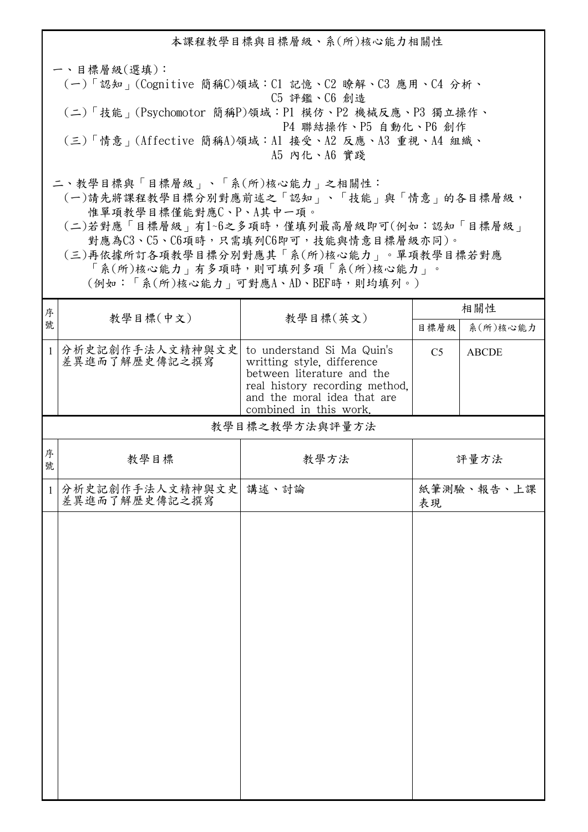本課程教學目標與目標層級、系(所)核心能力相關性 一、目標層級(選填): (一)「認知」(Cognitive 簡稱C)領域:C1 記憶、C2 瞭解、C3 應用、C4 分析、 C5 評鑑、C6 創造 (二)「技能」(Psychomotor 簡稱P)領域:P1 模仿、P2 機械反應、P3 獨立操作、 P4 聯結操作、P5 自動化、P6 創作 (三)「情意」(Affective 簡稱A)領域:A1 接受、A2 反應、A3 重視、A4 組織、 A5 內化、A6 實踐 二、教學目標與「目標層級」、「系(所)核心能力」之相關性:

 (一)請先將課程教學目標分別對應前述之「認知」、「技能」與「情意」的各目標層級, 惟單項教學目標僅能對應C、P、A其中一項。

 (二)若對應「目標層級」有1~6之多項時,僅填列最高層級即可(例如:認知「目標層級」 對應為C3、C5、C6項時,只需填列C6即可,技能與情意目標層級亦同)。

 (三)再依據所訂各項教學目標分別對應其「系(所)核心能力」。單項教學目標若對應 「系(所)核心能力」有多項時,則可填列多項「系(所)核心能力」。

(例如:「系(所)核心能力」可對應A、AD、BEF時,則均填列。)

| 序            |                                  |                                                                                                                                                                                   | 相關性            |              |
|--------------|----------------------------------|-----------------------------------------------------------------------------------------------------------------------------------------------------------------------------------|----------------|--------------|
| 號            | 教學目標(中文)                         | 教學目標(英文)                                                                                                                                                                          | 目標層級           | 系(所)核心能力     |
| $\mathbf{1}$ | 分析史記創作手法人文精神與文史<br>差異進而了解歷史傳記之撰寫 | to understand Si Ma Quin's<br>writting style, difference<br>between literature and the<br>real history recording method,<br>and the moral idea that are<br>combined in this work. | C <sub>5</sub> | <b>ABCDE</b> |
|              |                                  | 教學目標之教學方法與評量方法                                                                                                                                                                    |                |              |
| 序<br>號       | 教學目標                             | 教學方法                                                                                                                                                                              |                | 評量方法         |
| $\mathbf{1}$ | 分析史記創作手法人文精神與文史<br>差異進而了解歷史傳記之撰寫 | 講述、討論                                                                                                                                                                             | 表現             | 紙筆測驗、報告、上課   |
|              |                                  |                                                                                                                                                                                   |                |              |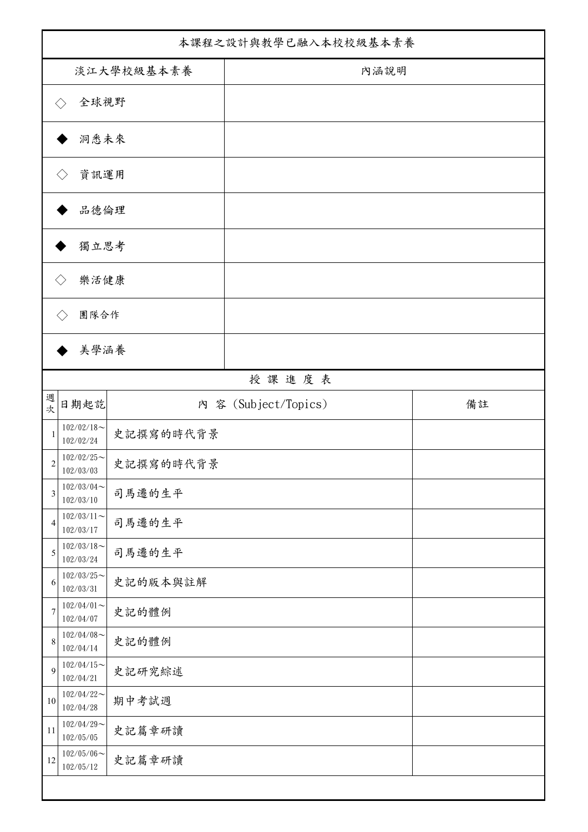| 本課程之設計與教學已融入本校校級基本素養        |                                                |           |                      |    |
|-----------------------------|------------------------------------------------|-----------|----------------------|----|
| 淡江大學校級基本素養                  |                                                |           | 內涵說明                 |    |
|                             | 全球視野<br>$\langle \ \rangle$                    |           |                      |    |
|                             | 洞悉未來                                           |           |                      |    |
|                             | 資訊運用<br>$\langle \ \rangle$                    |           |                      |    |
|                             | 品德倫理                                           |           |                      |    |
| 獨立思考                        |                                                |           |                      |    |
|                             | 樂活健康<br>$\langle \, \rangle$                   |           |                      |    |
| 團隊合作<br>$\langle \ \rangle$ |                                                |           |                      |    |
|                             | 美學涵養                                           |           |                      |    |
|                             |                                                |           | 授課進度表                |    |
| 週<br>次                      | 日期起訖                                           |           | 內 容 (Subject/Topics) | 備註 |
| 1                           | $102/02/18$ ~<br>102/02/24                     | 史記撰寫的時代背景 |                      |    |
| $\sqrt{2}$                  | $102/02/25$ ~<br>102/03/03                     | 史記撰寫的時代背景 |                      |    |
| $\mathfrak{Z}$              | $102/03/04$ ~<br>102/03/10                     | 司馬遷的生平    |                      |    |
| $\overline{4}$              | $102/03/11$ ~<br>102/03/17                     | 司馬遷的生平    |                      |    |
| 5                           | $102/03/18$ ~<br>102/03/24                     | 司馬遷的生平    |                      |    |
| 6                           | $102/03/25$ ~<br>102/03/31                     | 史記的版本與註解  |                      |    |
| $\overline{7}$              | $102/04/01 \sim$<br>102/04/07<br>$102/04/08$ ~ | 史記的體例     |                      |    |
| $\,$ 8 $\,$                 | 102/04/14<br>$102/04/15$ ~                     | 史記的體例     |                      |    |
| 9                           | 102/04/21<br>$102/04/22$ ~                     | 史記研究綜述    |                      |    |
| $10\,$                      | 102/04/28<br>$102/04/29$ ~                     | 期中考試週     |                      |    |
| 11                          | 102/05/05<br>$102/05/06 \sim$                  | 史記篇章研讀    |                      |    |
| 12                          | 102/05/12                                      | 史記篇章研讀    |                      |    |
|                             |                                                |           |                      |    |